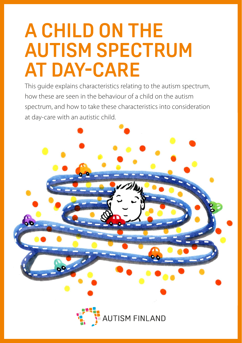# **A CHILD ON THE AUTISM SPECTRUM AT DAY-CARE**

This guide explains characteristics relating to the autism spectrum, how these are seen in the behaviour of a child on the autism spectrum, and how to take these characteristics into consideration at day-care with an autistic child.



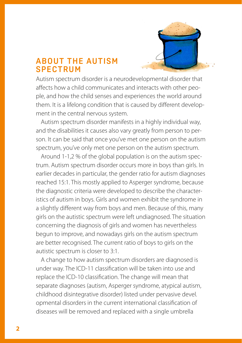

# **ABOUT THE AUTISM SPECTRUM**

Autism spectrum disorder is a neurodevelopmental disorder that affects how a child communicates and interacts with other people, and how the child senses and experiences the world around them. It is a lifelong condition that is caused by different development in the central nervous system.

Autism spectrum disorder manifests in a highly individual way, and the disabilities it causes also vary greatly from person to person. It can be said that once you've met one person on the autism spectrum, you've only met one person on the autism spectrum.

Around 1-1,2 % of the global population is on the autism spectrum. Autism spectrum disorder occurs more in boys than girls. In earlier decades in particular, the gender ratio for autism diagnoses reached 15:1. This mostly applied to Asperger syndrome, because the diagnostic criteria were developed to describe the characteristics of autism in boys. Girls and women exhibit the syndrome in a slightly different way from boys and men. Because of this, many girls on the autistic spectrum were left undiagnosed. The situation concerning the diagnosis of girls and women has nevertheless begun to improve, and nowadays girls on the autism spectrum are better recognised. The current ratio of boys to girls on the autistic spectrum is closer to 3:1.

A change to how autism spectrum disorders are diagnosed is under way. The ICD-11 classification will be taken into use and replace the ICD-10 classification. The change will mean that separate diagnoses (autism, Asperger syndrome, atypical autism, childhood disintegrative disorder) listed under pervasive devel. opmental disorders in the current international classification of diseases will be removed and replaced with a single umbrella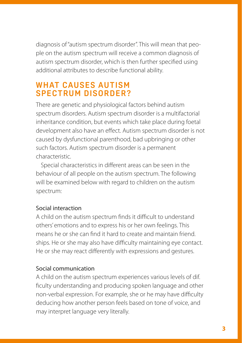diagnosis of "autism spectrum disorder". This will mean that people on the autism spectrum will receive a common diagnosis of autism spectrum disorder, which is then further specified using additional attributes to describe functional ability.

# **WHAT CAUSES AUTISM SPECTRUM DISORDER?**

There are genetic and physiological factors behind autism spectrum disorders. Autism spectrum disorder is a multifactorial inheritance condition, but events which take place during foetal development also have an effect. Autism spectrum disorder is not caused by dysfunctional parenthood, bad upbringing or other such factors. Autism spectrum disorder is a permanent characteristic.

Special characteristics in different areas can be seen in the behaviour of all people on the autism spectrum. The following will be examined below with regard to children on the autism spectrum:

# Social interaction

A child on the autism spectrum finds it difficult to understand others' emotions and to express his or her own feelings. This means he or she can find it hard to create and maintain friend. ships. He or she may also have difficulty maintaining eye contact. He or she may react differently with expressions and gestures.

# Social communication

A child on the autism spectrum experiences various levels of dif. ficulty understanding and producing spoken language and other non-verbal expression. For example, she or he may have difficulty deducing how another person feels based on tone of voice, and may interpret language very literally.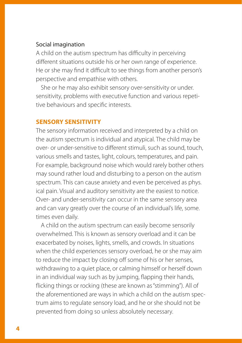#### Social imagination

A child on the autism spectrum has difficulty in perceiving different situations outside his or her own range of experience. He or she may find it difficult to see things from another person's perspective and empathise with others.

She or he may also exhibit sensory over-sensitivity or under. sensitivity, problems with executive function and various repetitive behaviours and specific interests.

#### **SENSORY SENSITIVITY**

The sensory information received and interpreted by a child on the autism spectrum is individual and atypical. The child may be over- or under-sensitive to different stimuli, such as sound, touch, various smells and tastes, light, colours, temperatures, and pain. For example, background noise which would rarely bother others may sound rather loud and disturbing to a person on the autism spectrum. This can cause anxiety and even be perceived as phys. ical pain. Visual and auditory sensitivity are the easiest to notice. Over- and under-sensitivity can occur in the same sensory area and can vary greatly over the course of an individual's life, some. times even daily.

A child on the autism spectrum can easily become sensorily overwhelmed. This is known as sensory overload and it can be exacerbated by noises, lights, smells, and crowds. In situations when the child experiences sensory overload, he or she may aim to reduce the impact by closing off some of his or her senses, withdrawing to a quiet place, or calming himself or herself down in an individual way such as by jumping, flapping their hands, flicking things or rocking (these are known as "stimming"). All of the aforementioned are ways in which a child on the autism spectrum aims to regulate sensory load, and he or she should not be prevented from doing so unless absolutely necessary.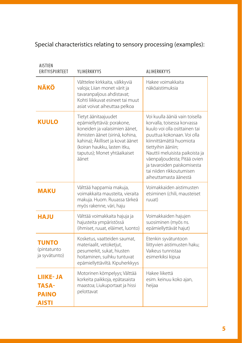# Special characteristics relating to sensory processing (examples):

| <b>AISTIEN</b><br><b>FRITYISPIIRTFFT</b>                        | YLIHERKKYYS                                                                                                                                                                                                                           | <b>AI IHFRKKYYS</b>                                                                                                                                                                                                                                                                                                                  |
|-----------------------------------------------------------------|---------------------------------------------------------------------------------------------------------------------------------------------------------------------------------------------------------------------------------------|--------------------------------------------------------------------------------------------------------------------------------------------------------------------------------------------------------------------------------------------------------------------------------------------------------------------------------------|
| <b>NÄKÖ</b>                                                     | Välttelee kirkkaita, välkkyviä<br>valoja; Liian monet värit ja<br>tavaranpaljous ahdistavat;<br>Kohti liikkuvat esineet tai muut<br>asiat voivat aiheuttaa pelkoa                                                                     | Hakee voimakkaita<br>näköaistimuksia                                                                                                                                                                                                                                                                                                 |
| <b>KUULO</b>                                                    | Tietyt äänitaajuudet<br>epämiellyttäviä: porakone,<br>koneiden ja valaisimien äänet,<br>ihmisten äänet (sirinä, kohina,<br>kahina); Äkilliset ja kovat äänet<br>(koiran haukku, lasten itku,<br>taputus); Monet yhtäaikaiset<br>äänet | Voi kuulla ääniä vain toisella<br>korvalla, toisessa korvassa<br>kuulo voi olla osittainen tai<br>puuttua kokonaan. Voi olla<br>kiinnittämättä huomiota<br>tiettyihin ääniin;<br>Nauttii meluisista paikoista ja<br>väenpaljoudesta; Pitää ovien<br>ja tavaroiden paiskomisesta<br>tai niiden rikkoutumisen<br>aiheuttamasta äänestä |
| <b>MAKU</b>                                                     | Välttää happamia makuja,<br>voimakkaita mausteita, vieraita<br>makuja. Huom. Ruuassa tärkeä<br>myös rakenne, väri, haju                                                                                                               | Voimakkaiden aistimusten<br>etsiminen (chili, mausteiset<br>ruuat)                                                                                                                                                                                                                                                                   |
| <b>ULAH</b>                                                     | Välttää voimakkaita hajuja ja<br>hajusteita ympäristössä<br>(ihmiset, ruuat, eläimet, luonto)                                                                                                                                         | Voimakkaiden hajujen<br>suosiminen (myös ns.<br>epämiellyttävät hajut)                                                                                                                                                                                                                                                               |
| <b>TUNTO</b><br>(pintatunto<br>ja syvätunto)                    | Kosketus, vaatteiden saumat,<br>materiaalit, vetoketjut,<br>pesumerkit, sukat, hiusten<br>hoitaminen, suihku tuntuvat<br>epämiellyttäviltä. Kipuherkkyys                                                                              | Etenkin syvätuntoon<br>liittyvien aistimusten haku;<br>Vaikeus tunnistaa<br>esimerkiksi kipua                                                                                                                                                                                                                                        |
| <b>LIIKE-JA</b><br><b>TASA-</b><br><b>PAINO</b><br><b>AISTI</b> | Motorinen kömpelyys; Välttää<br>korkeita paikkoja, epätasaista<br>maastoa; Liukuportaat ja hissi<br>pelottavat                                                                                                                        | Hakee liikettä<br>esim. keinuu koko ajan,<br>heijaa                                                                                                                                                                                                                                                                                  |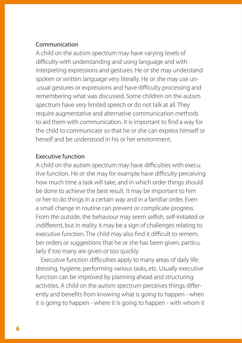#### Communication

A child on the autism spectrum may have varying levels of difficulty with understanding and using language and with interpreting expressions and gestures. He or she may understand spoken or written language very literally. He or she may use un- .usual gestures or expressions and have difficulty processing and remembering what was discussed. Some children on the autism spectrum have very limited speech or do not talk at all. They require augmentative and alternative communication methods to aid them with communication. It is important to find a way for the child to communicate so that he or she can express himself or herself and be understood in his or her environment.

#### Executive function

A child on the autism spectrum may have difficulties with execu. tive function. He or she may for example have difficulty perceiving how much time a task will take, and in which order things should be done to achieve the best result. It may be important to him or her to do things in a certain way and in a familiar order. Even a small change in routine can prevent or complicate progress. From the outside, the behaviour may seem selfish, self-initiated or indifferent, but in reality it may be a sign of challenges relating to executive function. The child may also find it difficult to remem. ber orders or suggestions that he or she has been given, particu. larly if too many are given or too quickly.

Executive function difficulties apply to many areas of daily life: dressing, hygiene, performing various tasks, etc. Usually executive function can be improved by planning ahead and structuring activities. A child on the autism spectrum perceives things differently and benefits from knowing what is going to happen - when it is going to happen - where it is going to happen - with whom it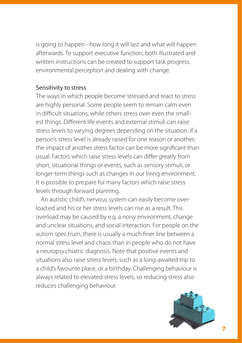is going to happen - how long it will last and what will happen afterwards. To support executive function, both illustrated and written instructions can be created to support task progress, environmental perception and dealing with change.

#### Sensitivity to stress

The ways in which people become stressed and react to stress are highly personal. Some people seem to remain calm even in difficult situations, while others stress over even the smallest things. Different life events and external stimuli can raise stress levels to varying degrees depending on the situation. If a person's stress level is already raised for one reason or another, the impact of another stress factor can be more significant than usual. Factors which raise stress levels can differ greatly from short, situational things or events, such as sensory stimuli, or longer-term things such as changes in our living environment. It is possible to pre.pare for many factors which raise stress levels through forward planning.

An autistic child's nervous system can easily become overload.ed and his or her stress levels can rise as a result. This overload may be caused by e.g. a noisy environment, change and unclear situations, and social interaction. For people on the autism spec.trum, there is usually a much finer line between a normal stress level and chaos than in people who do not have a neuropsy.chiatric diagnosis. Note that positive events and situations also raise stress levels, such as a long-awaited trip to a child's favourite place, or a birthday. Challenging behaviour is always related to elevated stress levels, so reducing stress also reduces challenging behaviour.

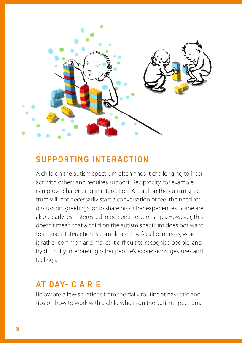

# **SUPPORTING INTERACTION**

A child on the autism spectrum often finds it challenging to interact with others and requires support. Reciprocity, for example, can prove challenging in interaction. A child on the autism spectrum will not necessarily start a conversation or feel the need for discussion, greetings, or to share his or her experiences. Some are also clearly less interested in personal relationships. However, this doesn't mean that a child on the autism spectrum does not want to interact. Interaction is complicated by facial blindness, which is rather common and makes it difficult to recognise people, and by difficulty interpreting other people's expressions, gestures and feelings.

# **AT DAY- C A R E**

Below are a few situations from the daily routine at day-care and tips on how to work with a child who is on the autism spectrum.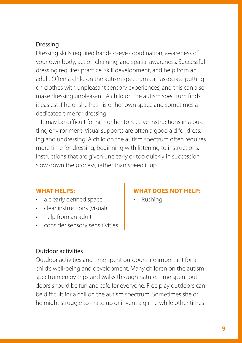#### Dressing

Dressing skills required hand-to-eye coordination, awareness of your own body, action chaining, and spatial awareness. Successful dressing requires practice, skill development, and help from an adult. Often a child on the autism spectrum can associate putting on clothes with unpleasant sensory experiences, and this can also make dressing unpleasant. A child on the autism spectrum finds it easiest if he or she has his or her own space and sometimes a dedicated time for dressing.

It may be difficult for him or her to receive instructions in a bus. tling environment. Visual supports are often a good aid for dress. ing and undressing. A child on the autism spectrum often requires more time for dressing, beginning with listening to instructions. Instructions that are given unclearly or too quickly in succession slow down the process, rather than speed it up.

#### **WHAT HELPS:**

- a clearly defined space
- clear instructions (visual)
- help from an adult
- consider sensory sensitivities

#### Outdoor activities

Outdoor activities and time spent outdoors are important for a child's well-being and development. Many children on the autism spectrum enjoy trips and walks through nature. Time spent out. doors should be fun and safe for everyone. Free play outdoors can be difficult for a chil on the autism spectrum. Sometimes she or he might struggle to make up or invent a game while other times

# **WHAT DOES NOT HELP:**

• Rushing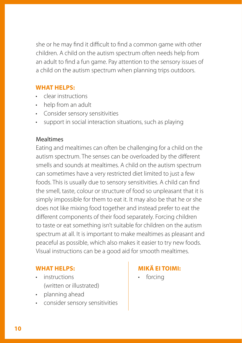she or he may find it difficult to find a common game with other children. A child on the autism spectrum often needs help from an adult to find a fun game. Pay attention to the sensory issues of a child on the autism spectrum when planning trips outdoors.

# **WHAT HELPS:**

- clear instructions
- help from an adult
- Consider sensory sensitivities
- support in social interaction situations, such as playing

## **Mealtimes**

Eating and mealtimes can often be challenging for a child on the autism spectrum. The senses can be overloaded by the different smells and sounds at mealtimes. A child on the autism spectrum can sometimes have a very restricted diet limited to just a few foods. This is usually due to sensory sensitivities. A child can find the smell, taste, colour or structure of food so unpleasant that it is simply impossible for them to eat it. It may also be that he or she does not like mixing food together and instead prefer to eat the different components of their food separately. Forcing children to taste or eat something isn't suitable for children on the autism spectrum at all. It is important to make mealtimes as pleasant and peaceful as possible, which also makes it easier to try new foods. Visual instructions can be a good aid for smooth mealtimes.

# **WHAT HELPS:**

- instructions (written or illustrated)
- planning ahead
- consider sensory sensitivities

# **MIKÄ EI TOIMI:**

• forcing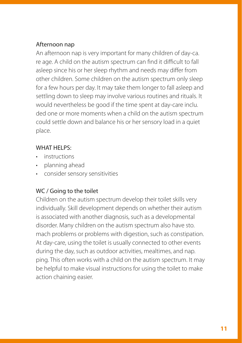# Afternoon nap

An afternoon nap is very important for many children of day-ca. re age. A child on the autism spectrum can find it difficult to fall asleep since his or her sleep rhythm and needs may differ from other children. Some children on the autism spectrum only sleep for a few hours per day. It may take them longer to fall asleep and settling down to sleep may involve various routines and rituals. It would nevertheless be good if the time spent at day-care inclu. ded one or more moments when a child on the autism spectrum could settle down and balance his or her sensory load in a quiet place.

#### WHAT HELPS:

- instructions
- planning ahead
- consider sensory sensitivities

#### WC / Going to the toilet

Children on the autism spectrum develop their toilet skills very individually. Skill development depends on whether their autism is associated with another diagnosis, such as a developmental disorder. Many children on the autism spectrum also have sto. mach problems or problems with digestion, such as constipation. At day-care, using the toilet is usually connected to other events during the day, such as outdoor activities, mealtimes, and nap. ping. This often works with a child on the autism spectrum. It may be helpful to make visual instructions for using the toilet to make action chaining easier.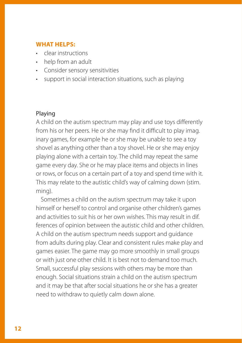- clear instructions
- help from an adult
- Consider sensory sensitivities
- support in social interaction situations, such as playing

#### Playing

A child on the autism spectrum may play and use toys differently from his or her peers. He or she may find it difficult to play imag. inary games, for example he or she may be unable to see a toy shovel as anything other than a toy shovel. He or she may enjoy playing alone with a certain toy. The child may repeat the same game every day. She or he may place items and objects in lines or rows, or focus on a certain part of a toy and spend time with it. This may relate to the autistic child's way of calming down (stim. ming).

Sometimes a child on the autism spectrum may take it upon himself or herself to control and organise other children's games and activities to suit his or her own wishes. This may result in dif. ferences of opinion between the autistic child and other children. A child on the autism spectrum needs support and guidance from adults during play. Clear and consistent rules make play and games easier. The game may go more smoothly in small groups or with just one other child. It is best not to demand too much. Small, successful play sessions with others may be more than enough. Social situations strain a child on the autism spectrum and it may be that after social situations he or she has a greater need to withdraw to quietly calm down alone.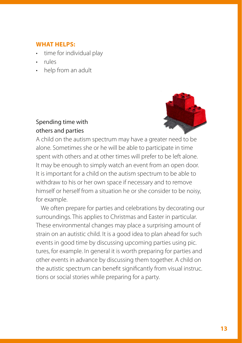- time for individual play
- rules
- help from an adult



# Spending time with others and parties

A child on the autism spectrum may have a greater need to be alone. Sometimes she or he will be able to participate in time spent with others and at other times will prefer to be left alone. It may be enough to simply watch an event from an open door. It is important for a child on the autism spectrum to be able to withdraw to his or her own space if necessary and to remove himself or herself from a situation he or she consider to be noisy, for example.

We often prepare for parties and celebrations by decorating our surroundings. This applies to Christmas and Easter in particular. These environmental changes may place a surprising amount of strain on an autistic child. It is a good idea to plan ahead for such events in good time by discussing upcoming parties using pic. tures, for example. In general it is worth preparing for parties and other events in advance by discussing them together. A child on the autistic spectrum can benefit significantly from visual instruc. tions or social stories while preparing for a party.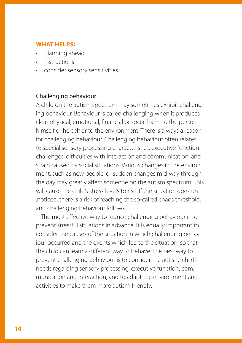- planning ahead
- instructions
- consider sensory sensitivities

#### Challenging behaviour

A child on the autism spectrum may sometimes exhibit challeng. ing behaviour. Behaviour is called challenging when it produces clear physical, emotional, financial or social harm to the person himself or herself or to the environment. There is always a reason for challenging behaviour. Challenging behaviour often relates to special sensory processing characteristics, executive function challenges, difficulties with interaction and communication, and strain caused by social situations. Various changes in the environ. ment, such as new people, or sudden changes mid-way through the day may greatly affect someone on the autism spectrum. This will cause the child's stress levels to rise. If the situation goes un- .noticed, there is a risk of reaching the so-called chaos threshold, and challenging behaviour follows.

The most effective way to reduce challenging behaviour is to prevent stressful situations in advance. It is equally important to consider the causes of the situation in which challenging behav. iour occurred and the events which led to the situation, so that the child can learn a different way to behave. The best way to prevent challenging behaviour is to consider the autistic child's needs regarding sensory processing, executive function, com. munication and interaction, and to adapt the environment and activities to make them more autism-friendly.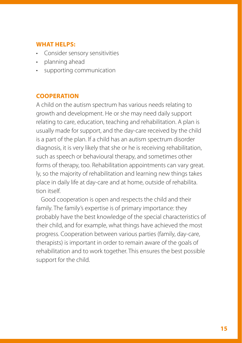- Consider sensory sensitivities
- planning ahead
- supporting communication

#### **COOPERATION**

A child on the autism spectrum has various needs relating to growth and development. He or she may need daily support relating to care, education, teaching and rehabilitation. A plan is usually made for support, and the day-care received by the child is a part of the plan. If a child has an autism spectrum disorder diagnosis, it is very likely that she or he is receiving rehabilitation, such as speech or behavioural therapy, and sometimes other forms of therapy, too. Rehabilitation appointments can vary great. ly, so the majority of rehabilitation and learning new things takes place in daily life at day-care and at home, outside of rehabilita. tion itself.

Good cooperation is open and respects the child and their family. The family's expertise is of primary importance: they probably have the best knowledge of the special characteristics of their child, and for example, what things have achieved the most progress. Cooperation between various parties (family, day-care, therapists) is important in order to remain aware of the goals of rehabilitation and to work together. This ensures the best possible support for the child.